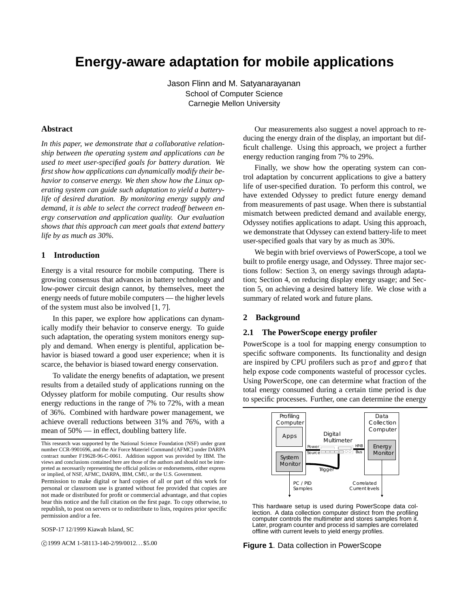# **Energy-aware adaptation for mobile applications**

Jason Flinn and M. Satyanarayanan School of Computer Science Carnegie Mellon University

## **Abstract**

*In this paper, we demonstrate that a collaborative relationship between the operating system and applications can be used to meet user-specified goals for battery duration. We first show how applications can dynamically modify their behavior to conserve energy. We then show how the Linux operating system can guide such adaptation to yield a batterylife of desired duration. By monitoring energy supply and demand, it is able to select the correct tradeoff between energy conservation and application quality. Our evaluation shows that this approach can meet goals that extend battery life by as much as 30%.*

## **1 Introduction**

Energy is a vital resource for mobile computing. There is growing consensus that advances in battery technology and low-power circuit design cannot, by themselves, meet the energy needs of future mobile computers — the higher levels of the system must also be involved [1, 7].

In this paper, we explore how applications can dynamically modify their behavior to conserve energy. To guide such adaptation, the operating system monitors energy supply and demand. When energy is plentiful, application behavior is biased toward a good user experience; when it is scarce, the behavior is biased toward energy conservation.

To validate the energy benefits of adaptation, we present results from a detailed study of applications running on the Odyssey platform for mobile computing. Our results show energy reductions in the range of 7% to 72%, with a mean of 36%. Combined with hardware power management, we achieve overall reductions between 31% and 76%, with a mean of 50% — in effect, doubling battery life.

SOSP-17 12/1999 Kiawah Island, SC

c 1999 ACM 1-58113-140-2/99/0012. . . \$5.00

Our measurements also suggest a novel approach to reducing the energy drain of the display, an important but difficult challenge. Using this approach, we project a further energy reduction ranging from 7% to 29%.

Finally, we show how the operating system can control adaptation by concurrent applications to give a battery life of user-specified duration. To perform this control, we have extended Odyssey to predict future energy demand from measurements of past usage. When there is substantial mismatch between predicted demand and available energy, Odyssey notifies applications to adapt. Using this approach, we demonstrate that Odyssey can extend battery-life to meet user-specified goals that vary by as much as 30%.

We begin with brief overviews of PowerScope, a tool we built to profile energy usage, and Odyssey. Three major sections follow: Section 3, on energy savings through adaptation; Section 4, on reducing display energy usage; and Section 5, on achieving a desired battery life. We close with a summary of related work and future plans.

## **2 Background**

## **2.1 The PowerScope energy profiler**

PowerScope is a tool for mapping energy consumption to specific software components. Its functionality and design are inspired by CPU profilers such as prof and gprof that help expose code components wasteful of processor cycles. Using PowerScope, one can determine what fraction of the total energy consumed during a certain time period is due to specific processes. Further, one can determine the energy



This hardware setup is used during PowerScope data collection. A data collection computer distinct from the profiling computer controls the multimeter and stores samples from it. Later, program counter and process id samples are correlated offline with current levels to yield energy profiles.

#### **Figure 1**. Data collection in PowerScope

This research was supported by the National Science Foundation (NSF) under grant number CCR-9901696, and the Air Force Materiel Command (AFMC) under DARPA contract number F19628-96-C-0061. Addition support was provided by IBM. The views and conclusions contained here are those of the authors and should not be interpreted as necessarily representing the official policies or endorsements, either express or implied, of NSF, AFMC, DARPA, IBM, CMU, or the U.S. Government.

Permission to make digital or hard copies of all or part of this work for personal or classroom use is granted without fee provided that copies are not made or distributed for profit or commercial advantage, and that copies bear this notice and the full citation on the first page. To copy otherwise, to republish, to post on servers or to redistribute to lists, requires prior specific permission and/or a fee.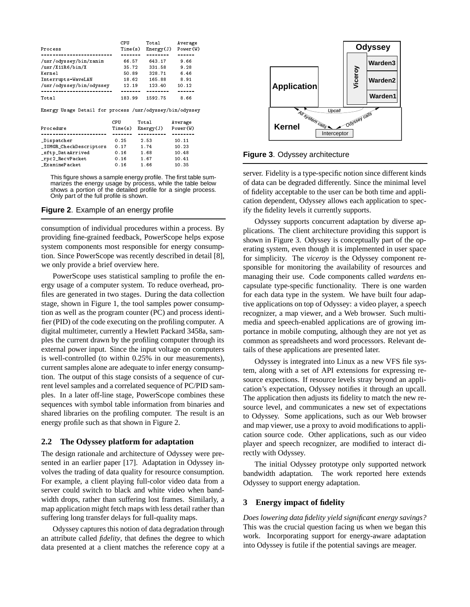| Process                                                  | CPU<br>Time(s) | Total<br>Energy(J)                | Average<br>Power(W) |
|----------------------------------------------------------|----------------|-----------------------------------|---------------------|
| /usr/odyssey/bin/xanim                                   | 66.57          | 643.17                            | 9.66                |
| /usr/X11R6/bin/X                                         | 35.72          | 331.58                            | 9.28                |
| Kernel                                                   | 50.89          | 328.71                            | 6.46                |
| Interrupts-WaveLAN                                       | 18.62          | 165.88                            | 8.91                |
| /usr/odyssey/bin/odyssey                                 | 12.19          | 123.40                            | 10.12               |
| Total                                                    | 183.99         | 1592.75                           | 8.66                |
| Energy Usage Detail for process /usr/odyssey/bin/odyssey |                |                                   |                     |
|                                                          | CPU            | Total                             | Average             |
| $\mathbf{n}$ $\mathbf{n}$                                |                | <u> ም፡ / \ ም / / ፣\ ነገ /፡፡\ \</u> |                     |

|      |      | Power(W)               |
|------|------|------------------------|
| 0.25 | 2.53 | 10.11                  |
| 0.17 | 1.74 | 10.23                  |
| 0.16 | 1.68 | 10.48                  |
| 0.16 | 1.67 | 10.41                  |
| 0.16 | 1.66 | 10.35                  |
|      |      | $Time(s)$ Energy $(J)$ |

This figure shows a sample energy profile. The first table summarizes the energy usage by process, while the table below shows a portion of the detailed profile for a single process. Only part of the full profile is shown.

**Figure 2**. Example of an energy profile

consumption of individual procedures within a process. By providing fine-grained feedback, PowerScope helps expose system components most responsible for energy consumption. Since PowerScope was recently described in detail [8], we only provide a brief overview here.

PowerScope uses statistical sampling to profile the energy usage of a computer system. To reduce overhead, profiles are generated in two stages. During the data collection stage, shown in Figure 1, the tool samples power consumption as well as the program counter (PC) and process identifier (PID) of the code executing on the profiling computer. A digital multimeter, currently a Hewlett Packard 3458a, samples the current drawn by the profiling computer through its external power input. Since the input voltage on computers is well-controlled (to within 0.25% in our measurements), current samples alone are adequate to infer energy consumption. The output of this stage consists of a sequence of current level samples and a correlated sequence of PC/PID samples. In a later off-line stage, PowerScope combines these sequences with symbol table information from binaries and shared libraries on the profiling computer. The result is an energy profile such as that shown in Figure 2.

# **2.2 The Odyssey platform for adaptation**

The design rationale and architecture of Odyssey were presented in an earlier paper [17]. Adaptation in Odyssey involves the trading of data quality for resource consumption. For example, a client playing full-color video data from a server could switch to black and white video when bandwidth drops, rather than suffering lost frames. Similarly, a map application might fetch maps with less detail rather than suffering long transfer delays for full-quality maps.

Odyssey captures this notion of data degradation through an attribute called *fidelity*, that defines the degree to which data presented at a client matches the reference copy at a



**Figure 3**. Odyssey architecture

server. Fidelity is a type-specific notion since different kinds of data can be degraded differently. Since the minimal level of fidelity acceptable to the user can be both time and application dependent, Odyssey allows each application to specify the fidelity levels it currently supports.

Odyssey supports concurrent adaptation by diverse applications. The client architecture providing this support is shown in Figure 3. Odyssey is conceptually part of the operating system, even though it is implemented in user space for simplicity. The *viceroy* is the Odyssey component responsible for monitoring the availability of resources and managing their use. Code components called *wardens* encapsulate type-specific functionality. There is one warden for each data type in the system. We have built four adaptive applications on top of Odyssey: a video player, a speech recognizer, a map viewer, and a Web browser. Such multimedia and speech-enabled applications are of growing importance in mobile computing, although they are not yet as common as spreadsheets and word processors. Relevant details of these applications are presented later.

Odyssey is integrated into Linux as a new VFS file system, along with a set of API extensions for expressing resource expections. If resource levels stray beyond an application's expectation, Odyssey notifies it through an upcall. The application then adjusts its fidelity to match the new resource level, and communicates a new set of expectations to Odyssey. Some applications, such as our Web browser and map viewer, use a proxy to avoid modifications to application source code. Other applications, such as our video player and speech recognizer, are modified to interact directly with Odyssey.

The initial Odyssey prototype only supported network bandwidth adaptation. The work reported here extends Odyssey to support energy adaptation.

# **3 Energy impact of fidelity**

*Does lowering data fidelity yield significant energy savings?* This was the crucial question facing us when we began this work. Incorporating support for energy-aware adaptation into Odyssey is futile if the potential savings are meager.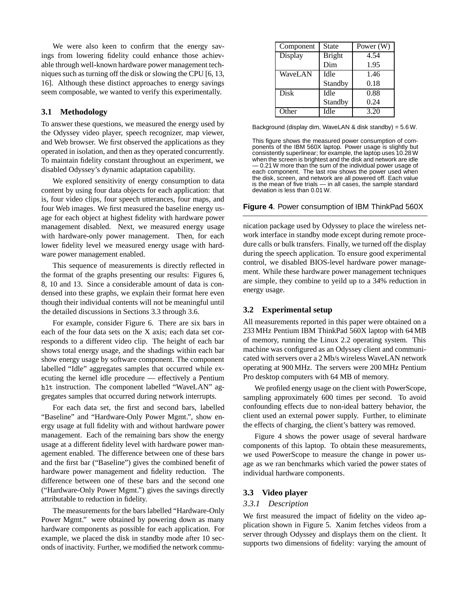We were also keen to confirm that the energy savings from lowering fidelity could enhance those achievable through well-known hardware power management techniques such as turning off the disk or slowing the CPU [6, 13, 16]. Although these distinct approaches to energy savings seem composable, we wanted to verify this experimentally.

# **3.1 Methodology**

To answer these questions, we measured the energy used by the Odyssey video player, speech recognizer, map viewer, and Web browser. We first observed the applications as they operated in isolation, and then as they operated concurrently. To maintain fidelity constant throughout an experiment, we disabled Odyssey's dynamic adaptation capability.

We explored sensitivity of energy consumption to data content by using four data objects for each application: that is, four video clips, four speech utterances, four maps, and four Web images. We first measured the baseline energy usage for each object at highest fidelity with hardware power management disabled. Next, we measured energy usage with hardware-only power management. Then, for each lower fidelity level we measured energy usage with hardware power management enabled.

This sequence of measurements is directly reflected in the format of the graphs presenting our results: Figures 6, 8, 10 and 13. Since a considerable amount of data is condensed into these graphs, we explain their format here even though their individual contents will not be meaningful until the detailed discussions in Sections 3.3 through 3.6.

For example, consider Figure 6. There are six bars in each of the four data sets on the X axis; each data set corresponds to a different video clip. The height of each bar shows total energy usage, and the shadings within each bar show energy usage by software component. The component labelled "Idle" aggregates samples that occurred while executing the kernel idle procedure — effectively a Pentium hlt instruction. The component labelled "WaveLAN" aggregates samples that occurred during network interrupts.

For each data set, the first and second bars, labelled "Baseline" and "Hardware-Only Power Mgmt.", show energy usage at full fidelity with and without hardware power management. Each of the remaining bars show the energy usage at a different fidelity level with hardware power management enabled. The difference between one of these bars and the first bar ("Baseline") gives the combined benefit of hardware power management and fidelity reduction. The difference between one of these bars and the second one ("Hardware-Only Power Mgmt.") gives the savings directly attributable to reduction in fidelity.

The measurements for the bars labelled "Hardware-Only Power Mgmt." were obtained by powering down as many hardware components as possible for each application. For example, we placed the disk in standby mode after 10 seconds of inactivity. Further, we modified the network commu-

| Component | <b>State</b>  | Power (W) |
|-----------|---------------|-----------|
| Display   | <b>Bright</b> | 4.54      |
|           | Dim           | 1.95      |
| WaveLAN   | Idle          | 1.46      |
|           | Standby       | 0.18      |
| Disk      | Idle          | 0.88      |
|           | Standby       | 0.24      |
| Other     | Idle          | 3.20      |

Background (display dim, WaveLAN & disk standby) = 5.6 W.

This figure shows the measured power consumption of components of the IBM 560X laptop. Power usage is slightly but consistently superlinear; for example, the laptop uses 10.28 W when the screen is brightest and the disk and network are idle — 0.21 W more than the sum of the individual power usage of each component. The last row shows the power used when the disk, screen, and network are all powered off. Each value is the mean of five trials — in all cases, the sample standard deviation is less than 0.01 W.

#### **Figure 4**. Power consumption of IBM ThinkPad 560X

nication package used by Odyssey to place the wireless network interface in standby mode except during remote procedure calls or bulk transfers. Finally, we turned off the display during the speech application. To ensure good experimental control, we disabled BIOS-level hardware power management. While these hardware power management techniques are simple, they combine to yeild up to a 34% reduction in energy usage.

#### **3.2 Experimental setup**

All measurements reported in this paper were obtained on a 233 MHz Pentium IBM ThinkPad 560X laptop with 64 MB of memory, running the Linux 2.2 operating system. This machine was configured as an Odyssey client and communicated with servers over a 2 Mb/s wireless WaveLAN network operating at 900 MHz. The servers were 200 MHz Pentium Pro desktop computers with 64 MB of memory.

We profiled energy usage on the client with PowerScope, sampling approximately 600 times per second. To avoid confounding effects due to non-ideal battery behavior, the client used an external power supply. Further, to eliminate the effects of charging, the client's battery was removed.

Figure 4 shows the power usage of several hardware components of this laptop. To obtain these measurements, we used PowerScope to measure the change in power usage as we ran benchmarks which varied the power states of individual hardware components.

#### **3.3 Video player**

#### *3.3.1 Description*

We first measured the impact of fidelity on the video application shown in Figure 5. Xanim fetches videos from a server through Odyssey and displays them on the client. It supports two dimensions of fidelity: varying the amount of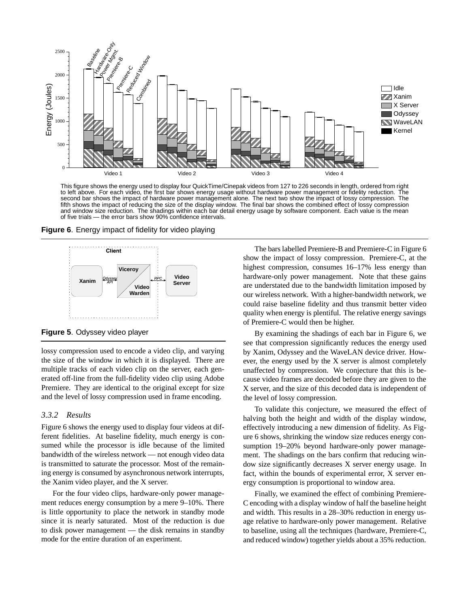

This figure shows the energy used to display four QuickTime/Cinepak videos from 127 to 226 seconds in length, ordered from right to left above. For each video, the first bar shows energy usage without hardware power management or fidelity reduction. The second bar shows the impact of hardware power management alone. The next two show the impact of lossy compression. The fifth shows the impact of reducing the size of the display window. The final bar shows the combined effect of lossy compression and window size reduction. The shadings within each bar detail energy usage by software component. Each value is the mean of five trials — the error bars show 90% confidence intervals.





**Figure 5**. Odyssey video player

lossy compression used to encode a video clip, and varying the size of the window in which it is displayed. There are multiple tracks of each video clip on the server, each generated off-line from the full-fidelity video clip using Adobe Premiere. They are identical to the original except for size and the level of lossy compression used in frame encoding.

## *3.3.2 Results*

Figure 6 shows the energy used to display four videos at different fidelities. At baseline fidelity, much energy is consumed while the processor is idle because of the limited bandwidth of the wireless network — not enough video data is transmitted to saturate the processor. Most of the remaining energy is consumed by asynchronous network interrupts, the Xanim video player, and the X server.

For the four video clips, hardware-only power management reduces energy consumption by a mere 9–10%. There is little opportunity to place the network in standby mode since it is nearly saturated. Most of the reduction is due to disk power management — the disk remains in standby mode for the entire duration of an experiment.

The bars labelled Premiere-B and Premiere-C in Figure 6 show the impact of lossy compression. Premiere-C, at the highest compression, consumes  $16-17\%$  less energy than hardware-only power management. Note that these gains are understated due to the bandwidth limitation imposed by our wireless network. With a higher-bandwidth network, we could raise baseline fidelity and thus transmit better video quality when energy is plentiful. The relative energy savings of Premiere-C would then be higher.

By examining the shadings of each bar in Figure 6, we see that compression significantly reduces the energy used by Xanim, Odyssey and the WaveLAN device driver. However, the energy used by the X server is almost completely unaffected by compression. We conjecture that this is because video frames are decoded before they are given to the X server, and the size of this decoded data is independent of the level of lossy compression.

To validate this conjecture, we measured the effect of halving both the height and width of the display window, effectively introducing a new dimension of fidelity. As Figure 6 shows, shrinking the window size reduces energy consumption 19–20% beyond hardware-only power management. The shadings on the bars confirm that reducing window size significantly decreases X server energy usage. In fact, within the bounds of experimental error, X server energy consumption is proportional to window area.

Finally, we examined the effect of combining Premiere-C encoding with a display window of half the baseline height and width. This results in a 28–30% reduction in energy usage relative to hardware-only power management. Relative to baseline, using all the techniques (hardware, Premiere-C, and reduced window) together yields about a 35% reduction.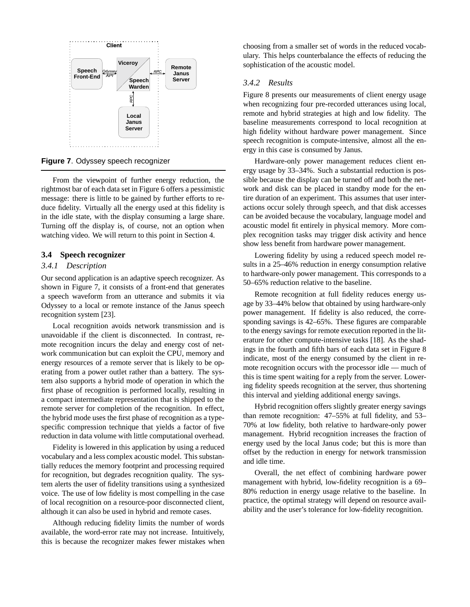

**Figure 7**. Odyssey speech recognizer

From the viewpoint of further energy reduction, the rightmost bar of each data set in Figure 6 offers a pessimistic message: there is little to be gained by further efforts to reduce fidelity. Virtually all the energy used at this fidelity is in the idle state, with the display consuming a large share. Turning off the display is, of course, not an option when watching video. We will return to this point in Section 4.

## **3.4 Speech recognizer**

# *3.4.1 Description*

Our second application is an adaptive speech recognizer. As shown in Figure 7, it consists of a front-end that generates a speech waveform from an utterance and submits it via Odyssey to a local or remote instance of the Janus speech recognition system [23].

Local recognition avoids network transmission and is unavoidable if the client is disconnected. In contrast, remote recognition incurs the delay and energy cost of network communication but can exploit the CPU, memory and energy resources of a remote server that is likely to be operating from a power outlet rather than a battery. The system also supports a hybrid mode of operation in which the first phase of recognition is performed locally, resulting in a compact intermediate representation that is shipped to the remote server for completion of the recognition. In effect, the hybrid mode uses the first phase of recognition as a typespecific compression technique that yields a factor of five reduction in data volume with little computational overhead.

Fidelity is lowered in this application by using a reduced vocabulary and a less complex acoustic model. This substantially reduces the memory footprint and processing required for recognition, but degrades recognition quality. The system alerts the user of fidelity transitions using a synthesized voice. The use of low fidelity is most compelling in the case of local recognition on a resource-poor disconnected client, although it can also be used in hybrid and remote cases.

Although reducing fidelity limits the number of words available, the word-error rate may not increase. Intuitively, this is because the recognizer makes fewer mistakes when choosing from a smaller set of words in the reduced vocabulary. This helps counterbalance the effects of reducing the sophistication of the acoustic model.

#### *3.4.2 Results*

Figure 8 presents our measurements of client energy usage when recognizing four pre-recorded utterances using local, remote and hybrid strategies at high and low fidelity. The baseline measurements correspond to local recognition at high fidelity without hardware power management. Since speech recognition is compute-intensive, almost all the energy in this case is consumed by Janus.

Hardware-only power management reduces client energy usage by 33–34%. Such a substantial reduction is possible because the display can be turned off and both the network and disk can be placed in standby mode for the entire duration of an experiment. This assumes that user interactions occur solely through speech, and that disk accesses can be avoided because the vocabulary, language model and acoustic model fit entirely in physical memory. More complex recognition tasks may trigger disk activity and hence show less benefit from hardware power management.

Lowering fidelity by using a reduced speech model results in a 25–46% reduction in energy consumption relative to hardware-only power management. This corresponds to a 50–65% reduction relative to the baseline.

Remote recognition at full fidelity reduces energy usage by 33–44% below that obtained by using hardware-only power management. If fidelity is also reduced, the corresponding savings is 42–65%. These figures are comparable to the energy savings for remote execution reported in the literature for other compute-intensive tasks [18]. As the shadings in the fourth and fifth bars of each data set in Figure 8 indicate, most of the energy consumed by the client in remote recognition occurs with the processor idle — much of this is time spent waiting for a reply from the server. Lowering fidelity speeds recognition at the server, thus shortening this interval and yielding additional energy savings.

Hybrid recognition offers slightly greater energy savings than remote recognition: 47–55% at full fidelity, and 53– 70% at low fidelity, both relative to hardware-only power management. Hybrid recognition increases the fraction of energy used by the local Janus code; but this is more than offset by the reduction in energy for network transmission and idle time.

Overall, the net effect of combining hardware power management with hybrid, low-fidelity recognition is a 69– 80% reduction in energy usage relative to the baseline. In practice, the optimal strategy will depend on resource availability and the user's tolerance for low-fidelity recognition.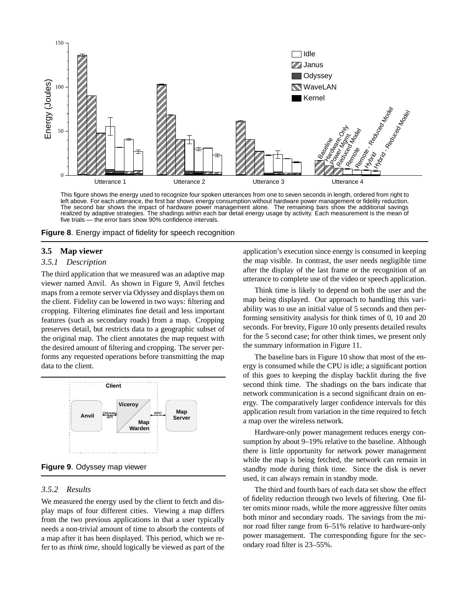

This figure shows the energy used to recognize four spoken utterances from one to seven seconds in length, ordered from right to left above. For each utterance, the first bar shows energy consumption without hardware power management or fidelity reduction. The second bar shows the impact of hardware power management alone. The remaining bars show the additional savings realized by adaptive strategies. The shadings within each bar detail energy usage by activity. Each measurement is the mean of five trials — the error bars show 90% confidence intervals.

**Figure 8**. Energy impact of fidelity for speech recognition

# **3.5 Map viewer**

## *3.5.1 Description*

The third application that we measured was an adaptive map viewer named Anvil. As shown in Figure 9, Anvil fetches maps from a remote server via Odyssey and displays them on the client. Fidelity can be lowered in two ways: filtering and cropping. Filtering eliminates fine detail and less important features (such as secondary roads) from a map. Cropping preserves detail, but restricts data to a geographic subset of the original map. The client annotates the map request with the desired amount of filtering and cropping. The server performs any requested operations before transmitting the map data to the client.





## *3.5.2 Results*

We measured the energy used by the client to fetch and display maps of four different cities. Viewing a map differs from the two previous applications in that a user typically needs a non-trivial amount of time to absorb the contents of a map after it has been displayed. This period, which we refer to as *think time*, should logically be viewed as part of the

application's execution since energy is consumed in keeping the map visible. In contrast, the user needs negligible time after the display of the last frame or the recognition of an utterance to complete use of the video or speech application.

Think time is likely to depend on both the user and the map being displayed. Our approach to handling this variability was to use an initial value of 5 seconds and then performing sensitivity analysis for think times of 0, 10 and 20 seconds. For brevity, Figure 10 only presents detailed results for the 5 second case; for other think times, we present only the summary information in Figure 11.

The baseline bars in Figure 10 show that most of the energy is consumed while the CPU is idle; a significant portion of this goes to keeping the display backlit during the five second think time. The shadings on the bars indicate that network communication is a second significant drain on energy. The comparatively larger confidence intervals for this application result from variation in the time required to fetch a map over the wireless network.

Hardware-only power management reduces energy consumption by about 9–19% relative to the baseline. Although there is little opportunity for network power management while the map is being fetched, the network can remain in standby mode during think time. Since the disk is never used, it can always remain in standby mode.

The third and fourth bars of each data set show the effect of fidelity reduction through two levels of filtering. One filter omits minor roads, while the more aggressive filter omits both minor and secondary roads. The savings from the minor road filter range from 6–51% relative to hardware-only power management. The corresponding figure for the secondary road filter is 23–55%.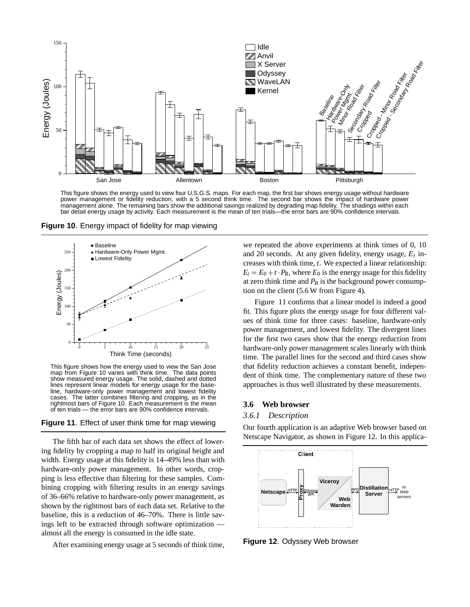

This figure shows the energy used to view four U.S.G.S. maps. For each map, the first bar shows energy usage without hardware power management or fidelity reduction, with a 5 second think time. The second bar shows the impact of hardware power management alone. The remaining bars show the additional savings realized by degrading map fidelity. The shadings within each bar detail energy usage by activity. Each measurement is the mean of ten trials—the error bars are 90% confidence intervals.

**Figure 10**. Energy impact of fidelity for map viewing



This figure shows how the energy used to view the San Jose map from Figure 10 varies with think time. The data points show measured energy usage. The solid, dashed and dotted lines represent linear models for energy usage for the baseline, hardware-only power management and lowest fidelity cases. The latter combines filtering and cropping, as in the rightmost bars of Figure 10. Each measurement is the mean of ten trials — the error bars are 90% confidence intervals.



The fifth bar of each data set shows the effect of lowering fidelity by cropping a map to half its original height and width. Energy usage at this fidelity is 14–49% less than with hardware-only power management. In other words, cropping is less effective than filtering for these samples. Combining cropping with filtering results in an energy savings of 36–66% relative to hardware-only power management, as shown by the rightmost bars of each data set. Relative to the baseline, this is a reduction of 46–70%. There is little savings left to be extracted through software optimization almost all the energy is consumed in the idle state.

After examining energy usage at 5 seconds of think time,

we repeated the above experiments at think times of 0, 10 and 20 seconds. At any given fidelity, energy usage,  $E_t$  increases with think time, *t*. We expected a linear relationship:  $E_t = E_0 + t$   $P_B$ , where  $E_0$  is the energy usage for this fidelity at zero think time and  $P_B$  is the background power consumption on the client (5.6 W from Figure 4).

Figure 11 confirms that a linear model is indeed a good fit. This figure plots the energy usage for four different values of think time for three cases: baseline, hardware-only power management, and lowest fidelity. The divergent lines for the first two cases show that the energy reduction from hardware-only power management scales linearly with think time. The parallel lines for the second and third cases show that fidelity reduction achieves a constant benefit, independent of think time. The complementary nature of these two approaches is thus well illustrated by these measurements.

## **3.6 Web browser**

## *3.6.1 Description*

Our fourth application is an adaptive Web browser based on Netscape Navigator, as shown in Figure 12. In this applica-



**Figure 12**. Odyssey Web browser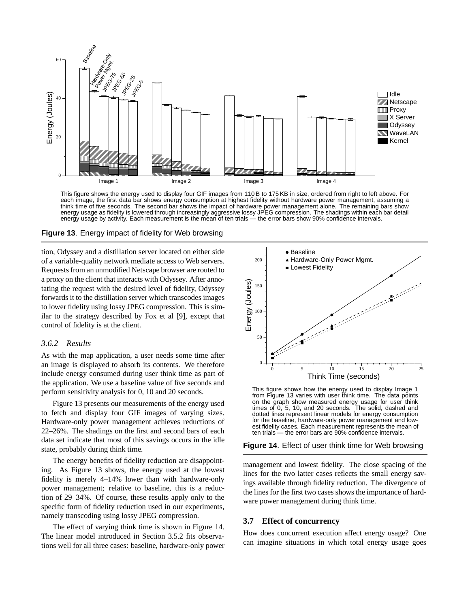

This figure shows the energy used to display four GIF images from 110 B to 175 KB in size, ordered from right to left above. For each image, the first data bar shows energy consumption at highest fidelity without hardware power management, assuming a think time of five seconds. The second bar shows the impact of hardware power management alone. The remaining bars show energy usage as fidelity is lowered through increasingly aggressive lossy JPEG compression. The shadings within each bar detail energy usage by activity. Each measurement is the mean of ten trials — the error bars show 90% confidence intervals.

#### **Figure 13**. Energy impact of fidelity for Web browsing

tion, Odyssey and a distillation server located on either side of a variable-quality network mediate access to Web servers. Requests from an unmodified Netscape browser are routed to a proxy on the client that interacts with Odyssey. After annotating the request with the desired level of fidelity, Odyssey forwards it to the distillation server which transcodes images to lower fidelity using lossy JPEG compression. This is similar to the strategy described by Fox et al [9], except that control of fidelity is at the client.

## *3.6.2 Results*

As with the map application, a user needs some time after an image is displayed to absorb its contents. We therefore include energy consumed during user think time as part of the application. We use a baseline value of five seconds and perform sensitivity analysis for 0, 10 and 20 seconds.

Figure 13 presents our measurements of the energy used to fetch and display four GIF images of varying sizes. Hardware-only power management achieves reductions of 22–26%. The shadings on the first and second bars of each data set indicate that most of this savings occurs in the idle state, probably during think time.

The energy benefits of fidelity reduction are disappointing. As Figure 13 shows, the energy used at the lowest fidelity is merely 4–14% lower than with hardware-only power management; relative to baseline, this is a reduction of 29–34%. Of course, these results apply only to the specific form of fidelity reduction used in our experiments, namely transcoding using lossy JPEG compression.

The effect of varying think time is shown in Figure 14. The linear model introduced in Section 3.5.2 fits observations well for all three cases: baseline, hardware-only power



This figure shows how the energy used to display Image 1 from Figure 13 varies with user think time. The data points on the graph show measured energy usage for user think times of 0, 5, 10, and 20 seconds. The solid, dashed and dotted lines represent linear models for energy consumption for the baseline, hardware-only power management and lowest fidelity cases. Each measurement represents the mean of<br>ten trials — the error bars are 90% confidence intervals – the error bars are 90% confidence intervals.

**Figure 14**. Effect of user think time for Web browsing

management and lowest fidelity. The close spacing of the lines for the two latter cases reflects the small energy savings available through fidelity reduction. The divergence of the lines for the first two cases shows the importance of hardware power management during think time.

## **3.7 Effect of concurrency**

How does concurrent execution affect energy usage? One can imagine situations in which total energy usage goes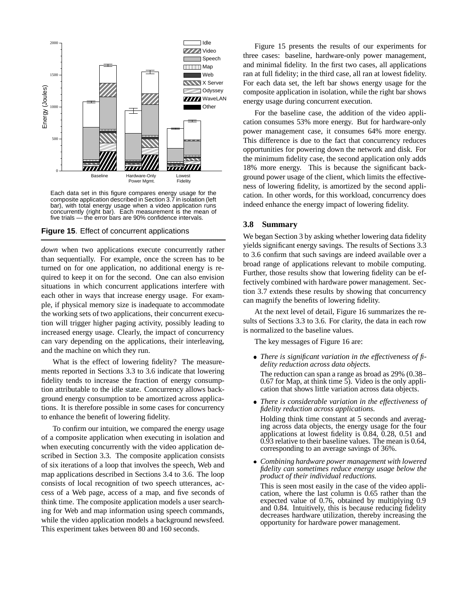

Each data set in this figure compares energy usage for the composite application described in Section 3.7 in isolation (left bar), with total energy usage when a video application runs concurrently (right bar). Each measurement is the mean of five trials — the error bars are 90% confidence intervals.



*down* when two applications execute concurrently rather than sequentially. For example, once the screen has to be turned on for one application, no additional energy is required to keep it on for the second. One can also envision situations in which concurrent applications interfere with each other in ways that increase energy usage. For example, if physical memory size is inadequate to accommodate the working sets of two applications, their concurrent execution will trigger higher paging activity, possibly leading to increased energy usage. Clearly, the impact of concurrency can vary depending on the applications, their interleaving, and the machine on which they run.

What is the effect of lowering fidelity? The measurements reported in Sections 3.3 to 3.6 indicate that lowering fidelity tends to increase the fraction of energy consumption attributable to the idle state. Concurrency allows background energy consumption to be amortized across applications. It is therefore possible in some cases for concurrency to enhance the benefit of lowering fidelity.

To confirm our intuition, we compared the energy usage of a composite application when executing in isolation and when executing concurrently with the video application described in Section 3.3. The composite application consists of six iterations of a loop that involves the speech, Web and map applications described in Sections 3.4 to 3.6. The loop consists of local recognition of two speech utterances, access of a Web page, access of a map, and five seconds of think time. The composite application models a user searching for Web and map information using speech commands, while the video application models a background newsfeed. This experiment takes between 80 and 160 seconds.

Figure 15 presents the results of our experiments for three cases: baseline, hardware-only power management, and minimal fidelity. In the first two cases, all applications ran at full fidelity; in the third case, all ran at lowest fidelity. For each data set, the left bar shows energy usage for the composite application in isolation, while the right bar shows energy usage during concurrent execution.

For the baseline case, the addition of the video application consumes 53% more energy. But for hardware-only power management case, it consumes 64% more energy. This difference is due to the fact that concurrency reduces opportunities for powering down the network and disk. For the minimum fidelity case, the second application only adds 18% more energy. This is because the significant background power usage of the client, which limits the effectiveness of lowering fidelity, is amortized by the second application. In other words, for this workload, concurrency does indeed enhance the energy impact of lowering fidelity.

#### **3.8 Summary**

We began Section 3 by asking whether lowering data fidelity yields significant energy savings. The results of Sections 3.3 to 3.6 confirm that such savings are indeed available over a broad range of applications relevant to mobile computing. Further, those results show that lowering fidelity can be effectively combined with hardware power management. Section 3.7 extends these results by showing that concurrency can magnify the benefits of lowering fidelity.

At the next level of detail, Figure 16 summarizes the results of Sections 3.3 to 3.6. For clarity, the data in each row is normalized to the baseline values.

The key messages of Figure 16 are:

 *There is significant variation in the effectiveness of fidelity reduction across data objects.*

The reduction can span a range as broad as 29% (0.38– 0.67 for Map, at think time 5). Video is the only application that shows little variation across data objects.

 *There is considerable variation in the effectiveness of fidelity reduction across applications.*

Holding think time constant at 5 seconds and averaging across data objects, the energy usage for the four applications at lowest fidelity is 0.84, 0.28, 0.51 and 0.93 relative to their baseline values. The mean is 0.64, corresponding to an average savings of 36%.

 *Combining hardware power management with lowered fidelity can sometimes reduce energy usage below the product of their individual reductions.*

This is seen most easily in the case of the video application, where the last column is 0.65 rather than the expected value of 0.76, obtained by multiplying 0.9 and 0.84. Intuitively, this is because reducing fidelity decreases hardware utilization, thereby increasing the opportunity for hardware power management.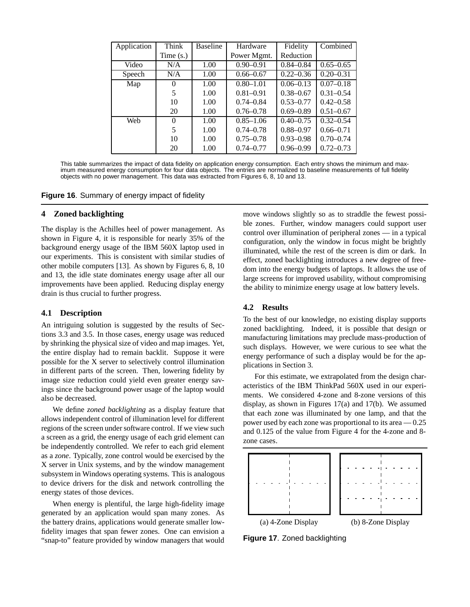| Application | Think       | <b>Baseline</b> | Hardware      | Fidelity      | Combined      |
|-------------|-------------|-----------------|---------------|---------------|---------------|
|             | Time $(s.)$ |                 | Power Mgmt.   | Reduction     |               |
| Video       | N/A         | 1.00            | $0.90 - 0.91$ | $0.84 - 0.84$ | $0.65 - 0.65$ |
| Speech      | N/A         | 1.00            | $0.66 - 0.67$ | $0.22 - 0.36$ | $0.20 - 0.31$ |
| Map         | $\theta$    | 1.00            | $0.80 - 1.01$ | $0.06 - 0.13$ | $0.07 - 0.18$ |
|             | 5           | 1.00            | $0.81 - 0.91$ | $0.38 - 0.67$ | $0.31 - 0.54$ |
|             | 10          | 1.00            | $0.74 - 0.84$ | $0.53 - 0.77$ | $0.42 - 0.58$ |
|             | 20          | 1.00            | $0.76 - 0.78$ | $0.69 - 0.89$ | $0.51 - 0.67$ |
| Web         | $\Omega$    | 1.00            | $0.85 - 1.06$ | $0.40 - 0.75$ | $0.32 - 0.54$ |
|             | 5           | 1.00            | $0.74 - 0.78$ | $0.88 - 0.97$ | $0.66 - 0.71$ |
|             | 10          | 1.00            | $0.75 - 0.78$ | $0.93 - 0.98$ | $0.70 - 0.74$ |
|             | 20          | 1.00            | $0.74 - 0.77$ | $0.96 - 0.99$ | $0.72 - 0.73$ |

This table summarizes the impact of data fidelity on application energy consumption. Each entry shows the minimum and maximum measured energy consumption for four data objects. The entries are normalized to baseline measurements of full fidelity objects with no power management. This data was extracted from Figures 6, 8, 10 and 13.

**Figure 16**. Summary of energy impact of fidelity

# **4 Zoned backlighting**

The display is the Achilles heel of power management. As shown in Figure 4, it is responsible for nearly 35% of the background energy usage of the IBM 560X laptop used in our experiments. This is consistent with similar studies of other mobile computers [13]. As shown by Figures 6, 8, 10 and 13, the idle state dominates energy usage after all our improvements have been applied. Reducing display energy drain is thus crucial to further progress.

#### **4.1 Description**

An intriguing solution is suggested by the results of Sections 3.3 and 3.5. In those cases, energy usage was reduced by shrinking the physical size of video and map images. Yet, the entire display had to remain backlit. Suppose it were possible for the X server to selectively control illumination in different parts of the screen. Then, lowering fidelity by image size reduction could yield even greater energy savings since the background power usage of the laptop would also be decreased.

We define *zoned backlighting* as a display feature that allows independent control of illumination level for different regions of the screen under software control. If we view such a screen as a grid, the energy usage of each grid element can be independently controlled. We refer to each grid element as a *zone*. Typically, zone control would be exercised by the X server in Unix systems, and by the window management subsystem in Windows operating systems. This is analogous to device drivers for the disk and network controlling the energy states of those devices.

When energy is plentiful, the large high-fidelity image generated by an application would span many zones. As the battery drains, applications would generate smaller lowfidelity images that span fewer zones. One can envision a "snap-to" feature provided by window managers that would move windows slightly so as to straddle the fewest possible zones. Further, window managers could support user control over illumination of peripheral zones — in a typical configuration, only the window in focus might be brightly illuminated, while the rest of the screen is dim or dark. In effect, zoned backlighting introduces a new degree of freedom into the energy budgets of laptops. It allows the use of large screens for improved usability, without compromising the ability to minimize energy usage at low battery levels.

# **4.2 Results**

To the best of our knowledge, no existing display supports zoned backlighting. Indeed, it is possible that design or manufacturing limitations may preclude mass-production of such displays. However, we were curious to see what the energy performance of such a display would be for the applications in Section 3.

For this estimate, we extrapolated from the design characteristics of the IBM ThinkPad 560X used in our experiments. We considered 4-zone and 8-zone versions of this display, as shown in Figures 17(a) and 17(b). We assumed that each zone was illuminated by one lamp, and that the power used by each zone was proportional to its area — 0.25 and 0.125 of the value from Figure 4 for the 4-zone and 8 zone cases.



**Figure 17**. Zoned backlighting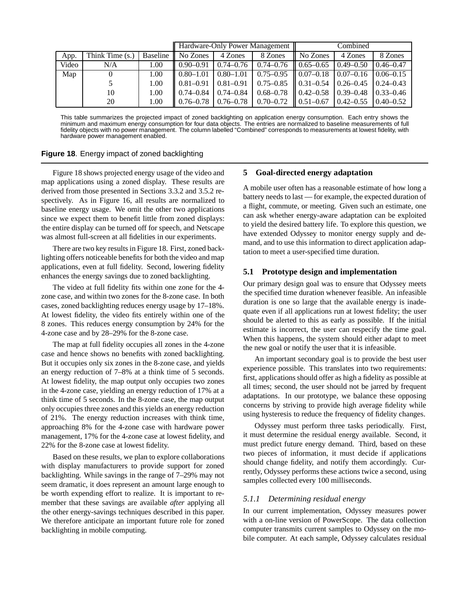|       |                 |      |                         |               | Hardware-Only Power Management                                          |                                                                   | Combined                                    |               |
|-------|-----------------|------|-------------------------|---------------|-------------------------------------------------------------------------|-------------------------------------------------------------------|---------------------------------------------|---------------|
| App.  | Think Time (s.) |      | Baseline    No Zones    | 4 Zones       | 8 Zones                                                                 | No Zones                                                          | 4 Zones                                     | 8 Zones       |
| Video | N/A             | 1.00 | $0.90 - 0.91$           | $0.74 - 0.76$ | $\overline{0.74-0.76}$ $\overline{0.65-0.65}$ $\overline{0.49-0.50}$    |                                                                   |                                             | $0.46 - 0.47$ |
| Map   |                 | 1.00 | $0.80 - 1.01$           | $0.80 - 1.01$ | $\vert 0.75-0.95 \vert 0.07-0.18 \vert 0.07-0.16 \vert 0.06-0.15 \vert$ |                                                                   |                                             |               |
|       |                 | 1.00 | $0.81 - 0.91$           | $0.81 - 0.91$ | $0.75 - 0.85$                                                           | $\parallel$ 0.31–0.54 $\parallel$ 0.26–0.45 $\parallel$ 0.24–0.43 |                                             |               |
|       | 10              | 1.00 | $0.74 - 0.84$           | $0.74 - 0.84$ | $0.68 - 0.78$                                                           | $\parallel$ 0.42–0.58 $\parallel$ 0.39–0.48 $\parallel$ 0.33–0.46 |                                             |               |
|       | 20              | 1.00 | $\parallel 0.76 - 0.78$ | $0.76 - 0.78$ | $0.70 - 0.72$                                                           | $0.51 - 0.67$                                                     | $\vert 0.42 - 0.55 \vert 0.40 - 0.52 \vert$ |               |

This table summarizes the projected impact of zoned backlighting on application energy consumption. Each entry shows the minimum and maximum energy consumption for four data objects. The entries are normalized to baseline measurements of full fidelity objects with no power management. The column labelled "Combined" corresponds to measurements at lowest fidelity, with hardware power management enabled.

## **Figure 18**. Energy impact of zoned backlighting

Figure 18 shows projected energy usage of the video and map applications using a zoned display. These results are derived from those presented in Sections 3.3.2 and 3.5.2 respectively. As in Figure 16, all results are normalized to baseline energy usage. We omit the other two applications since we expect them to benefit little from zoned displays: the entire display can be turned off for speech, and Netscape was almost full-screen at all fidelities in our experiments.

There are two key results in Figure 18. First, zoned backlighting offers noticeable benefits for both the video and map applications, even at full fidelity. Second, lowering fidelity enhances the energy savings due to zoned backlighting.

The video at full fidelity fits within one zone for the 4 zone case, and within two zones for the 8-zone case. In both cases, zoned backlighting reduces energy usage by 17–18%. At lowest fidelity, the video fits entirely within one of the 8 zones. This reduces energy consumption by 24% for the 4-zone case and by 28–29% for the 8-zone case.

The map at full fidelity occupies all zones in the 4-zone case and hence shows no benefits with zoned backlighting. But it occupies only six zones in the 8-zone case, and yields an energy reduction of 7–8% at a think time of 5 seconds. At lowest fidelity, the map output only occupies two zones in the 4-zone case, yielding an energy reduction of 17% at a think time of 5 seconds. In the 8-zone case, the map output only occupies three zones and this yields an energy reduction of 21%. The energy reduction increases with think time, approaching 8% for the 4-zone case with hardware power management, 17% for the 4-zone case at lowest fidelity, and 22% for the 8-zone case at lowest fidelity.

Based on these results, we plan to explore collaborations with display manufacturers to provide support for zoned backlighting. While savings in the range of 7–29% may not seem dramatic, it does represent an amount large enough to be worth expending effort to realize. It is important to remember that these savings are available *after* applying all the other energy-savings techniques described in this paper. We therefore anticipate an important future role for zoned backlighting in mobile computing.

# **5 Goal-directed energy adaptation**

A mobile user often has a reasonable estimate of how long a battery needs to last — for example, the expected duration of a flight, commute, or meeting. Given such an estimate, one can ask whether energy-aware adaptation can be exploited to yield the desired battery life. To explore this question, we have extended Odyssey to monitor energy supply and demand, and to use this information to direct application adaptation to meet a user-specified time duration.

## **5.1 Prototype design and implementation**

Our primary design goal was to ensure that Odyssey meets the specified time duration whenever feasible. An infeasible duration is one so large that the available energy is inadequate even if all applications run at lowest fidelity; the user should be alerted to this as early as possible. If the initial estimate is incorrect, the user can respecify the time goal. When this happens, the system should either adapt to meet the new goal or notify the user that it is infeasible.

An important secondary goal is to provide the best user experience possible. This translates into two requirements: first, applications should offer as high a fidelity as possible at all times; second, the user should not be jarred by frequent adaptations. In our prototype, we balance these opposing concerns by striving to provide high average fidelity while using hysteresis to reduce the frequency of fidelity changes.

Odyssey must perform three tasks periodically. First, it must determine the residual energy available. Second, it must predict future energy demand. Third, based on these two pieces of information, it must decide if applications should change fidelity, and notify them accordingly. Currently, Odyssey performs these actions twice a second, using samples collected every 100 milliseconds.

## *5.1.1 Determining residual energy*

In our current implementation, Odyssey measures power with a on-line version of PowerScope. The data collection computer transmits current samples to Odyssey on the mobile computer. At each sample, Odyssey calculates residual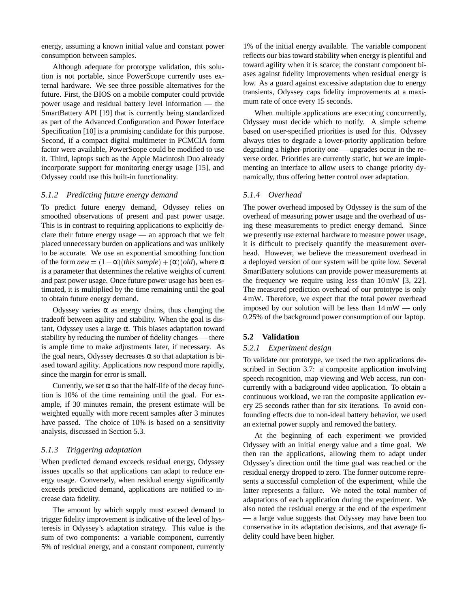energy, assuming a known initial value and constant power consumption between samples.

Although adequate for prototype validation, this solution is not portable, since PowerScope currently uses external hardware. We see three possible alternatives for the future. First, the BIOS on a mobile computer could provide power usage and residual battery level information — the SmartBattery API [19] that is currently being standardized as part of the Advanced Configuration and Power Interface Specification [10] is a promising candidate for this purpose. Second, if a compact digital multimeter in PCMCIA form factor were available, PowerScope could be modified to use it. Third, laptops such as the Apple Macintosh Duo already incorporate support for monitoring energy usage [15], and Odyssey could use this built-in functionality.

# *5.1.2 Predicting future energy demand*

To predict future energy demand, Odyssey relies on smoothed observations of present and past power usage. This is in contrast to requiring applications to explicitly declare their future energy usage — an approach that we felt placed unnecessary burden on applications and was unlikely to be accurate. We use an exponential smoothing function of the form  $new = (1 - \alpha)(this sample) + (\alpha)(old)$ , where  $\alpha$ is a parameter that determines the relative weights of current and past power usage. Once future power usage has been estimated, it is multiplied by the time remaining until the goal to obtain future energy demand.

Odyssey varies  $\alpha$  as energy drains, thus changing the tradeoff between agility and stability. When the goal is distant, Odyssey uses a large α. This biases adaptation toward stability by reducing the number of fidelity changes — there is ample time to make adjustments later, if necessary. As the goal nears, Odyssey decreases  $\alpha$  so that adaptation is biased toward agility. Applications now respond more rapidly, since the margin for error is small.

Currently, we set  $\alpha$  so that the half-life of the decay function is 10% of the time remaining until the goal. For example, if 30 minutes remain, the present estimate will be weighted equally with more recent samples after 3 minutes have passed. The choice of 10% is based on a sensitivity analysis, discussed in Section 5.3.

# *5.1.3 Triggering adaptation*

When predicted demand exceeds residual energy, Odyssey issues upcalls so that applications can adapt to reduce energy usage. Conversely, when residual energy significantly exceeds predicted demand, applications are notified to increase data fidelity.

The amount by which supply must exceed demand to trigger fidelity improvement is indicative of the level of hysteresis in Odyssey's adaptation strategy. This value is the sum of two components: a variable component, currently 5% of residual energy, and a constant component, currently

1% of the initial energy available. The variable component reflects our bias toward stability when energy is plentiful and toward agility when it is scarce; the constant component biases against fidelity improvements when residual energy is low. As a guard against excessive adaptation due to energy transients, Odyssey caps fidelity improvements at a maximum rate of once every 15 seconds.

When multiple applications are executing concurrently, Odyssey must decide which to notify. A simple scheme based on user-specified priorities is used for this. Odyssey always tries to degrade a lower-priority application before degrading a higher-priority one — upgrades occur in the reverse order. Priorities are currently static, but we are implementing an interface to allow users to change priority dynamically, thus offering better control over adaptation.

# *5.1.4 Overhead*

The power overhead imposed by Odyssey is the sum of the overhead of measuring power usage and the overhead of using these measurements to predict energy demand. Since we presently use external hardware to measure power usage, it is difficult to precisely quantify the measurement overhead. However, we believe the measurement overhead in a deployed version of our system will be quite low. Several SmartBattery solutions can provide power measurements at the frequency we require using less than 10 mW [3, 22]. The measured prediction overhead of our prototype is only 4 mW. Therefore, we expect that the total power overhead imposed by our solution will be less than  $14 \text{ mW}$  — only 0.25% of the background power consumption of our laptop.

#### **5.2 Validation**

## *5.2.1 Experiment design*

To validate our prototype, we used the two applications described in Section 3.7: a composite application involving speech recognition, map viewing and Web access, run concurrently with a background video application. To obtain a continuous workload, we ran the composite application every 25 seconds rather than for six iterations. To avoid confounding effects due to non-ideal battery behavior, we used an external power supply and removed the battery.

At the beginning of each experiment we provided Odyssey with an initial energy value and a time goal. We then ran the applications, allowing them to adapt under Odyssey's direction until the time goal was reached or the residual energy dropped to zero. The former outcome represents a successful completion of the experiment, while the latter represents a failure. We noted the total number of adaptations of each application during the experiment. We also noted the residual energy at the end of the experiment — a large value suggests that Odyssey may have been too conservative in its adaptation decisions, and that average fidelity could have been higher.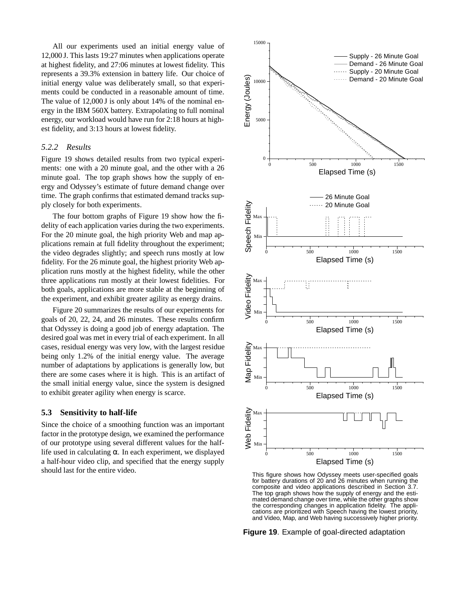All our experiments used an initial energy value of 12,000 J. This lasts 19:27 minutes when applications operate at highest fidelity, and 27:06 minutes at lowest fidelity. This represents a 39.3% extension in battery life. Our choice of initial energy value was deliberately small, so that experiments could be conducted in a reasonable amount of time. The value of 12,000 J is only about 14% of the nominal energy in the IBM 560X battery. Extrapolating to full nominal energy, our workload would have run for 2:18 hours at highest fidelity, and 3:13 hours at lowest fidelity.

#### *5.2.2 Results*

Figure 19 shows detailed results from two typical experiments: one with a 20 minute goal, and the other with a 26 minute goal. The top graph shows how the supply of energy and Odyssey's estimate of future demand change over time. The graph confirms that estimated demand tracks supply closely for both experiments.

The four bottom graphs of Figure 19 show how the fidelity of each application varies during the two experiments. For the 20 minute goal, the high priority Web and map applications remain at full fidelity throughout the experiment; the video degrades slightly; and speech runs mostly at low fidelity. For the 26 minute goal, the highest priority Web application runs mostly at the highest fidelity, while the other three applications run mostly at their lowest fidelities. For both goals, applications are more stable at the beginning of the experiment, and exhibit greater agility as energy drains.

Figure 20 summarizes the results of our experiments for goals of 20, 22, 24, and 26 minutes. These results confirm that Odyssey is doing a good job of energy adaptation. The desired goal was met in every trial of each experiment. In all cases, residual energy was very low, with the largest residue being only 1.2% of the initial energy value. The average number of adaptations by applications is generally low, but there are some cases where it is high. This is an artifact of the small initial energy value, since the system is designed to exhibit greater agility when energy is scarce.

## **5.3 Sensitivity to half-life**

Since the choice of a smoothing function was an important factor in the prototype design, we examined the performance of our prototype using several different values for the halflife used in calculating  $α$ . In each experiment, we displayed a half-hour video clip, and specified that the energy supply should last for the entire video.



This figure shows how Odyssey meets user-specified goals for battery durations of 20 and 26 minutes when running the composite and video applications described in Section 3.7. The top graph shows how the supply of energy and the estimated demand change over time, while the other graphs show the corresponding changes in application fidelity. The applications are prioritized with Speech having the lowest priority, and Video, Map, and Web having successively higher priority.

**Figure 19**. Example of goal-directed adaptation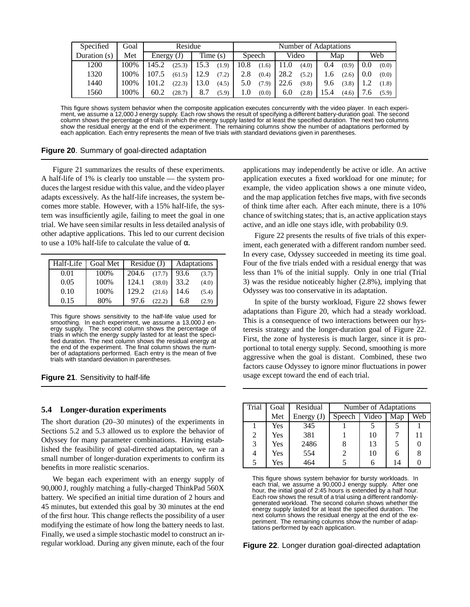| Specified      | Goal | Residue      |        |            |       |         |       |       | Number of Adaptations |      |       |     |       |
|----------------|------|--------------|--------|------------|-------|---------|-------|-------|-----------------------|------|-------|-----|-------|
| Duration $(s)$ | Met  | Energy $(J)$ |        | Time $(s)$ |       | Speech  |       | Video |                       | Map  |       |     | Web   |
| 1200           | 100% | 145.2        | (25.3) | 15.3       | (1.9) | 10.8    | (1.6) | 11.0  | (4.0)                 | 0.4  | (0.9) | 0.0 | (0.0) |
| 1320           | 100% | 107.5        | (61.5) | 12.9       | (7.2) | 2.8     | (0.4) | 28.2  | (5.2)                 | .6   | (2.6) | 0.0 | (0.0) |
| 1440           | 100% | 101.2        | (22.3) | l3.0       | (4.5) | 5.0     | (7.9) | 22.6  | (9.8)                 | 9.6  | (3.8) |     | (1.8) |
| 1560           | 100% | 60.2         | (28.7) | 8.7        | (5.9) | $1.0\,$ | (0.0) | 6.0   | (2.8)                 | 15.4 | (4.6) |     | (5.9) |

This figure shows system behavior when the composite application executes concurrently with the video player. In each experiment, we assume a 12,000 J energy supply. Each row shows the result of specifying a different battery-duration goal. The second column shows the percentage of trials in which the energy supply lasted for at least the specified duration. The next two columns show the residual energy at the end of the experiment. The remaining columns show the number of adaptations performed by each application. Each entry represents the mean of five trials with standard deviations given in parentheses.

#### **Figure 20**. Summary of goal-directed adaptation

Figure 21 summarizes the results of these experiments. A half-life of 1% is clearly too unstable — the system produces the largest residue with this value, and the video player adapts excessively. As the half-life increases, the system becomes more stable. However, with a 15% half-life, the system was insufficiently agile, failing to meet the goal in one trial. We have seen similar results in less detailed analysis of other adaptive applications. This led to our current decision to use a 10% half-life to calculate the value of α.

| Half-Life | Goal Met | Residue $(J)$  |        | Adaptations |       |
|-----------|----------|----------------|--------|-------------|-------|
| 0.01      | 100%     | $204.6$ (17.7) |        | 93.6        | (3.7) |
| 0.05      | 100%     | 124.1          | (38.0) | 133.2       | (4.0) |
| 0.10      | 100%     | 129.2          | (21.6) | 14.6        | (5.4) |
| 0.15      | 80%      | 97.6           | (22.2) | 6.8         | (2.9) |

This figure shows sensitivity to the half-life value used for smoothing. In each experiment, we assume a 13,000 J energy supply. The second column shows the percentage of trials in which the energy supply lasted for at least the specified duration. The next column shows the residual energy at the end of the experiment. The final column shows the number of adaptations performed. Each entry is the mean of five trials with standard deviation in parentheses.

|  |  | Figure 21. Sensitivity to half-life |  |  |
|--|--|-------------------------------------|--|--|
|--|--|-------------------------------------|--|--|

#### **5.4 Longer-duration experiments**

The short duration (20–30 minutes) of the experiments in Sections 5.2 and 5.3 allowed us to explore the behavior of Odyssey for many parameter combinations. Having established the feasibility of goal-directed adaptation, we ran a small number of longer-duration experiments to confirm its benefits in more realistic scenarios.

We began each experiment with an energy supply of 90,000 J, roughly matching a fully-charged ThinkPad 560X battery. We specified an initial time duration of 2 hours and 45 minutes, but extended this goal by 30 minutes at the end of the first hour. This change reflects the possibility of a user modifying the estimate of how long the battery needs to last. Finally, we used a simple stochastic model to construct an irregular workload. During any given minute, each of the four

applications may independently be active or idle. An active application executes a fixed workload for one minute; for example, the video application shows a one minute video, and the map application fetches five maps, with five seconds of think time after each. After each minute, there is a 10% chance of switching states; that is, an active application stays active, and an idle one stays idle, with probability 0.9.

Figure 22 presents the results of five trials of this experiment, each generated with a different random number seed. In every case, Odyssey succeeded in meeting its time goal. Four of the five trials ended with a residual energy that was less than 1% of the initial supply. Only in one trial (Trial 3) was the residue noticeably higher (2.8%), implying that Odyssey was too conservative in its adaptation.

In spite of the bursty workload, Figure 22 shows fewer adaptations than Figure 20, which had a steady workload. This is a consequence of two interactions between our hysteresis strategy and the longer-duration goal of Figure 22. First, the zone of hysteresis is much larger, since it is proportional to total energy supply. Second, smoothing is more aggressive when the goal is distant. Combined, these two factors cause Odyssey to ignore minor fluctuations in power usage except toward the end of each trial.

| Trial | Goal | Residual     | Number of Adaptations |       |     |                  |  |  |
|-------|------|--------------|-----------------------|-------|-----|------------------|--|--|
|       | Met  | Energy $(J)$ | Speech                | Video | Map | Web              |  |  |
|       | Yes  | 345          |                       |       |     |                  |  |  |
| 2     | Yes  | 381          |                       | 10    |     | 11               |  |  |
| 3     | Yes  | 2486         | 8                     | 13    |     | $\left( \right)$ |  |  |
| 4     | Yes  | 554          | 2                     | 10    |     | 8                |  |  |
| 5     | Yes  | 464          |                       |       | 14  |                  |  |  |

This figure shows system behavior for bursty workloads. In each trial, we assume a 90,000 J energy supply. After one hour, the initial goal of 2:45 hours is extended by a half hour. Each row shows the result of a trial using a different randomlygenerated workload. The second column shows whether the energy supply lasted for at least the specified duration. The next column shows the residual energy at the end of the experiment. The remaining columns show the number of adaptations performed by each application.

**Figure 22**. Longer duration goal-directed adaptation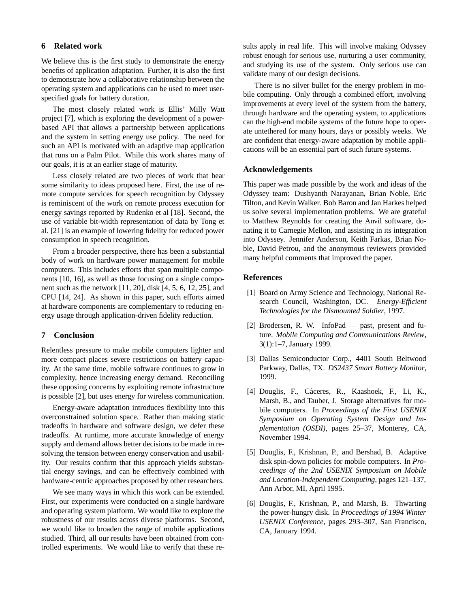# **6 Related work**

We believe this is the first study to demonstrate the energy benefits of application adaptation. Further, it is also the first to demonstrate how a collaborative relationship between the operating system and applications can be used to meet userspecified goals for battery duration.

The most closely related work is Ellis' Milly Watt project [7], which is exploring the development of a powerbased API that allows a partnership between applications and the system in setting energy use policy. The need for such an API is motivated with an adaptive map application that runs on a Palm Pilot. While this work shares many of our goals, it is at an earlier stage of maturity.

Less closely related are two pieces of work that bear some similarity to ideas proposed here. First, the use of remote compute services for speech recognition by Odyssey is reminiscent of the work on remote process execution for energy savings reported by Rudenko et al [18]. Second, the use of variable bit-width representation of data by Tong et al. [21] is an example of lowering fidelity for reduced power consumption in speech recognition.

From a broader perspective, there has been a substantial body of work on hardware power management for mobile computers. This includes efforts that span multiple components [10, 16], as well as those focusing on a single component such as the network [11, 20], disk [4, 5, 6, 12, 25], and CPU [14, 24]. As shown in this paper, such efforts aimed at hardware components are complementary to reducing energy usage through application-driven fidelity reduction.

## **7 Conclusion**

Relentless pressure to make mobile computers lighter and more compact places severe restrictions on battery capacity. At the same time, mobile software continues to grow in complexity, hence increasing energy demand. Reconciling these opposing concerns by exploiting remote infrastructure is possible [2], but uses energy for wireless communication.

Energy-aware adaptation introduces flexibility into this overconstrained solution space. Rather than making static tradeoffs in hardware and software design, we defer these tradeoffs. At runtime, more accurate knowledge of energy supply and demand allows better decisions to be made in resolving the tension between energy conservation and usability. Our results confirm that this approach yields substantial energy savings, and can be effectively combined with hardware-centric approaches proposed by other researchers.

We see many ways in which this work can be extended. First, our experiments were conducted on a single hardware and operating system platform. We would like to explore the robustness of our results across diverse platforms. Second, we would like to broaden the range of mobile applications studied. Third, all our results have been obtained from controlled experiments. We would like to verify that these results apply in real life. This will involve making Odyssey robust enough for serious use, nurturing a user community, and studying its use of the system. Only serious use can validate many of our design decisions.

There is no silver bullet for the energy problem in mobile computing. Only through a combined effort, involving improvements at every level of the system from the battery, through hardware and the operating system, to applications can the high-end mobile systems of the future hope to operate untethered for many hours, days or possibly weeks. We are confident that energy-aware adaptation by mobile applications will be an essential part of such future systems.

#### **Acknowledgements**

This paper was made possible by the work and ideas of the Odyssey team: Dushyanth Narayanan, Brian Noble, Eric Tilton, and Kevin Walker. Bob Baron and Jan Harkes helped us solve several implementation problems. We are grateful to Matthew Reynolds for creating the Anvil software, donating it to Carnegie Mellon, and assisting in its integration into Odyssey. Jennifer Anderson, Keith Farkas, Brian Noble, David Petrou, and the anonymous reviewers provided many helpful comments that improved the paper.

# **References**

- [1] Board on Army Science and Technology, National Research Council, Washington, DC. *Energy-Efficient Technologies for the Dismounted Soldier*, 1997.
- [2] Brodersen, R. W. InfoPad past, present and future. *Mobile Computing and Communications Review*, 3(1):1–7, January 1999.
- [3] Dallas Semiconductor Corp., 4401 South Beltwood Parkway, Dallas, TX. *DS2437 Smart Battery Monitor*, 1999.
- [4] Douglis, F., Cáceres, R., Kaashoek, F., Li, K., Marsh, B., and Tauber, J. Storage alternatives for mobile computers. In *Proceedings of the First USENIX Symposium on Operating System Design and Implementation (OSDI)*, pages 25–37, Monterey, CA, November 1994.
- [5] Douglis, F., Krishnan, P., and Bershad, B. Adaptive disk spin-down policies for mobile computers. In *Proceedings of the 2nd USENIX Symposium on Mobile and Location-Independent Computing*, pages 121–137, Ann Arbor, MI, April 1995.
- [6] Douglis, F., Krishnan, P., and Marsh, B. Thwarting the power-hungry disk. In *Proceedings of 1994 Winter USENIX Conference*, pages 293–307, San Francisco, CA, January 1994.